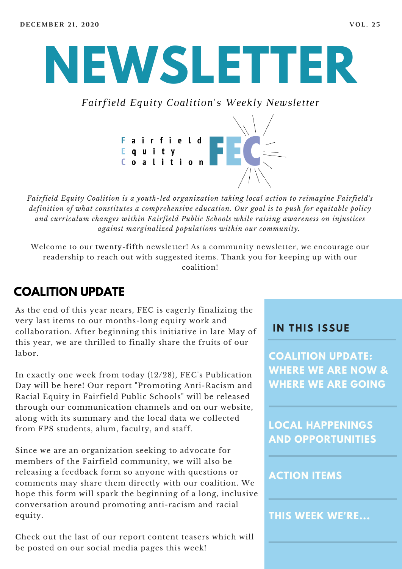# **NEWSLETTER**

*Fairfield Equity Coalition's Weekly Newsletter*



*Fairfield Equity Coalition is a youth-led organization taking local action to reimagine Fairfield's definition of what constitutes a comprehensive education. Our goal is to push for equitable policy and curriculum changes within Fairfield Public Schools while raising awareness on injustices against marginalized populations within our community.*

Welcome to our **twenty-fifth** newsletter! As a community newsletter, we encourage our readership to reach out with suggested items. Thank you for keeping up with our coalition!

#### **COALITION UPDATE**

As the end of this year nears, FEC is eagerly finalizing the very last items to our months-long equity work and collaboration. After beginning this initiative in late May of this year, we are thrilled to finally share the fruits of our labor.

In exactly one week from today (12/28), FEC's Publication Day will be here! Our report "Promoting Anti-Racism and Racial Equity in Fairfield Public Schools" will be released through our communication channels and on our website, along with its summary and the local data we collected from FPS students, alum, faculty, and staff.

Since we are an organization seeking to advocate for members of the Fairfield community, we will also be releasing a feedback form so anyone with questions or comments may share them directly with our coalition. We hope this form will spark the beginning of a long, inclusive conversation around promoting anti-racism and racial equity.

Check out the last of our report content teasers which will be posted on our social media pages this week!

#### **I N THIS ISSUE**

**COALITION UPDATE: WHERE WE ARE NOW & WHERE WE ARE GOING**

**LOCAL HAPPENINGS AND OPPORTUNITIES**

#### **ACTION ITEMS**

**THIS WEEK WE'RE...**